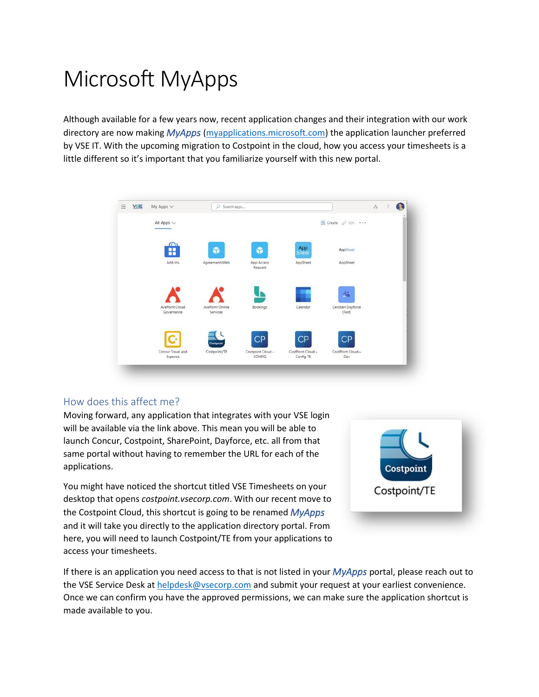# Microsoft MyApps

Although available for a few years now, recent application changes and their integration with our work directory are now making *MyApps* [\(myapplications.microsoft.com\)](https://myapplications.microsoft.com/) the application launcher preferred by VSE IT. With the upcoming migration to Costpoint in the cloud, how you access your timesheets is a little different so it's important that you familiarize yourself with this new portal.



#### How does this affect me?

Moving forward, any application that integrates with your VSE login will be available via the link above. This mean you will be able to launch Concur, Costpoint, SharePoint, Dayforce, etc. all from that same portal without having to remember the URL for each of the applications.

You might have noticed the shortcut titled VSE Timesheets on your desktop that opens *costpoint.vsecorp.com*. With our recent move to the Costpoint Cloud, this shortcut is going to be renamed *MyApps* and it will take you directly to the application directory portal. From here, you will need to launch Costpoint/TE from your applications to access your timesheets.



If there is an application you need access to that is not listed in your *MyApps* portal, please reach out to the VSE Service Desk a[t helpdesk@vsecorp.com](mailto:helpdesk@vsecorp.com) and submit your request at your earliest convenience. Once we can confirm you have the approved permissions, we can make sure the application shortcut is made available to you.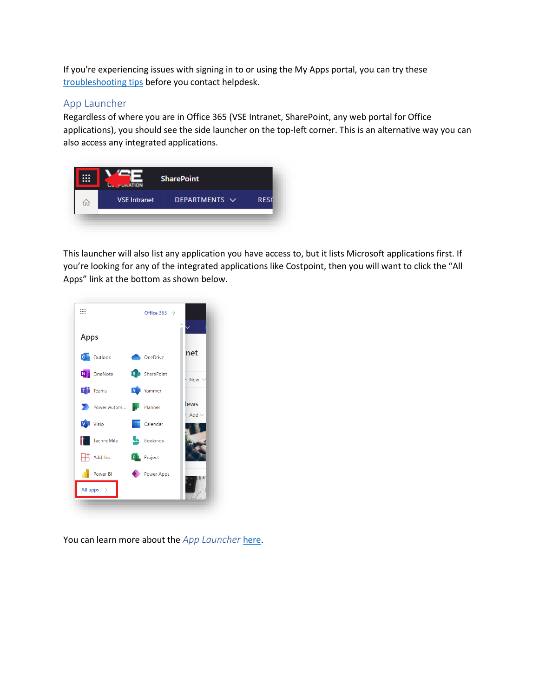If you're experiencing issues with signing in to or using the My Apps portal, you can try these [troubleshooting tips](https://docs.microsoft.com/en-us/azure/active-directory/user-help/my-apps-portal-end-user-troubleshoot) before you contact helpdesk.

### App Launcher

Regardless of where you are in Office 365 (VSE Intranet, SharePoint, any web portal for Office applications), you should see the side launcher on the top-left corner. This is an alternative way you can also access any integrated applications.

|     | <b>FURATION</b>     | <b>SharePoint</b>  |             |
|-----|---------------------|--------------------|-------------|
| ίπl | <b>VSE Intranet</b> | DEPARTMENTS $\vee$ | <b>RESC</b> |

This launcher will also list any application you have access to, but it lists Microsoft applications first. If you're looking for any of the integrated applications like Costpoint, then you will want to click the "All Apps" link at the bottom as shown below.



You can learn more about the *App Launcher* [here.](https://support.microsoft.com/en-us/office/meet-the-microsoft-365-app-launcher-79f12104-6fed-442f-96a0-eb089a3f476a)